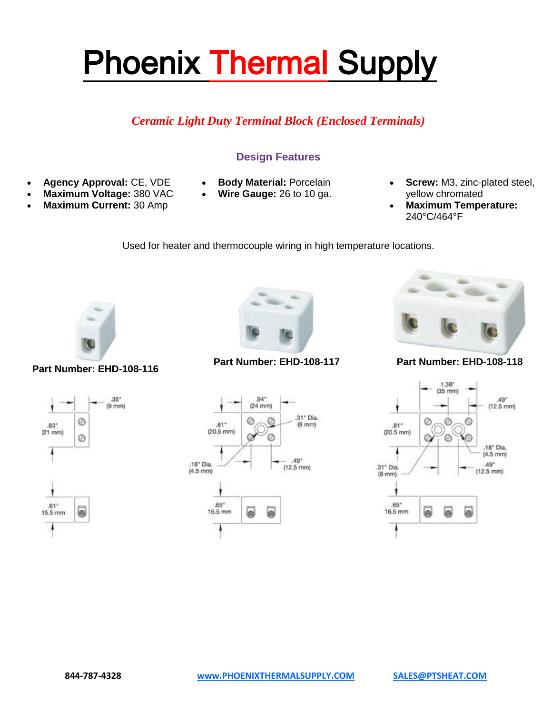# *Ceramic Light Duty Terminal Block (Enclosed Terminals)*

#### **Design Features**

- **Agency Approval:** CE, VDE
- **Maximum Voltage:** 380 VAC
- **Maximum Current:** 30 Amp
- **Body Material:** Porcelain
- **Wire Gauge:** 26 to 10 ga.
- **Screw:** M3, zinc-plated steel, yellow chromated
- **Maximum Temperature:** 240°C/464°F

Used for heater and thermocouple wiring in high temperature locations.



### **Part Number: EHD-108-116**





#### **Part Number: EHD-108-117 Part Number: EHD-108-118**





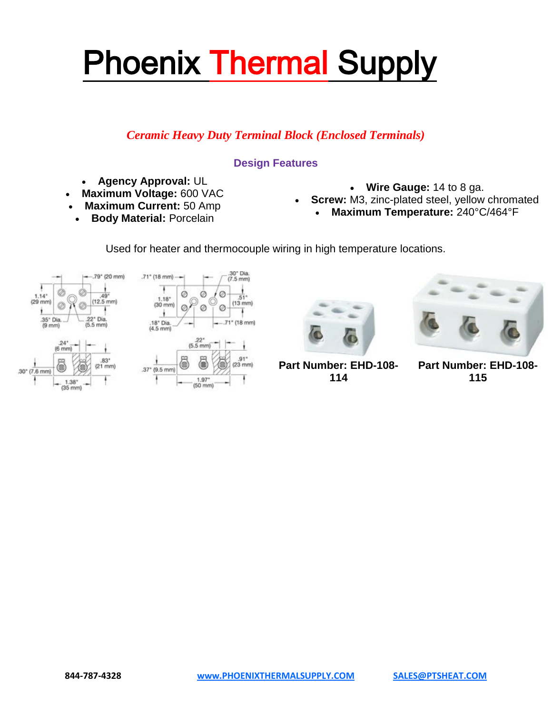### *Ceramic Heavy Duty Terminal Block (Enclosed Terminals)*

### **Design Features**

- **Agency Approval:** UL
- **Maximum Voltage:** 600 VAC
- **Maximum Current:** 50 Amp
- **Body Material:** Porcelain
- **Wire Gauge:** 14 to 8 ga.
- **Screw:** M3, zinc-plated steel, yellow chromated
	- **Maximum Temperature:** 240°C/464°F



Used for heater and thermocouple wiring in high temperature locations.



**Part Number: EHD-108- 114**



**Part Number: EHD-108- 115**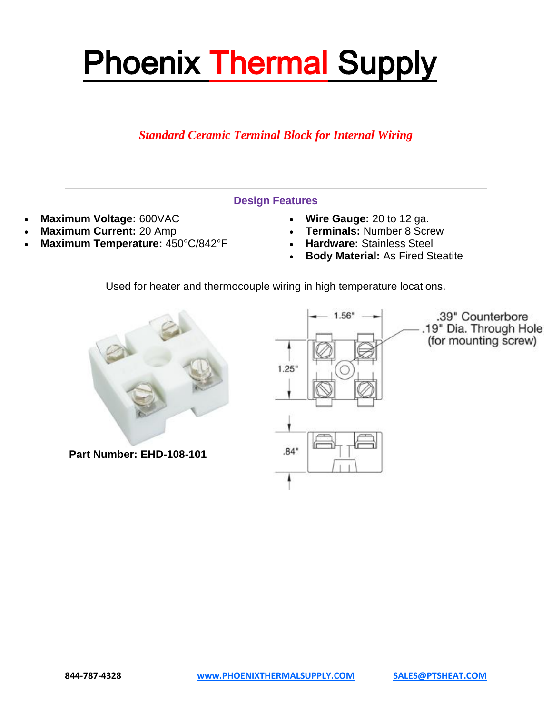# *Standard Ceramic Terminal Block for Internal Wiring*

#### **Design Features**

- **Maximum Voltage:** 600VAC
- **Maximum Current:** 20 Amp
- **Maximum Temperature:** 450°C/842°F
- **Wire Gauge:** 20 to 12 ga.
- **Terminals:** Number 8 Screw
- **Hardware:** Stainless Steel
- **Body Material:** As Fired Steatite

Used for heater and thermocouple wiring in high temperature locations.



**Part Number: EHD-108-101**